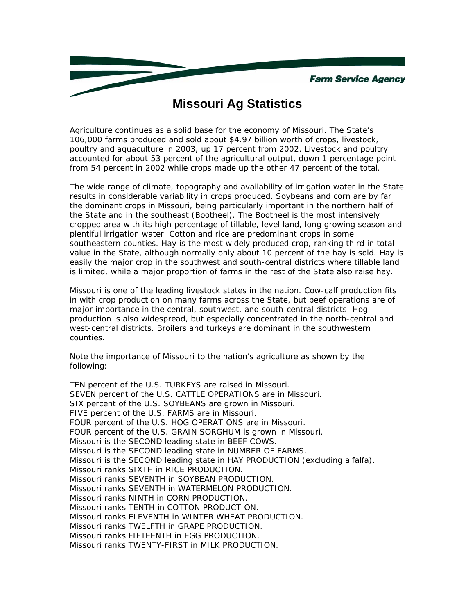## **Missouri Ag Statistics**

Agriculture continues as a solid base for the economy of Missouri. The State's 106,000 farms produced and sold about \$4.97 billion worth of crops, livestock, poultry and aquaculture in 2003, up 17 percent from 2002. Livestock and poultry accounted for about 53 percent of the agricultural output, down 1 percentage point from 54 percent in 2002 while crops made up the other 47 percent of the total.

The wide range of climate, topography and availability of irrigation water in the State results in considerable variability in crops produced. Soybeans and corn are by far the dominant crops in Missouri, being particularly important in the northern half of the State and in the southeast (Bootheel). The Bootheel is the most intensively cropped area with its high percentage of tillable, level land, long growing season and plentiful irrigation water. Cotton and rice are predominant crops in some southeastern counties. Hay is the most widely produced crop, ranking third in total value in the State, although normally only about 10 percent of the hay is sold. Hay is easily the major crop in the southwest and south-central districts where tillable land is limited, while a major proportion of farms in the rest of the State also raise hay.

Missouri is one of the leading livestock states in the nation. Cow-calf production fits in with crop production on many farms across the State, but beef operations are of major importance in the central, southwest, and south-central districts. Hog production is also widespread, but especially concentrated in the north-central and west-central districts. Broilers and turkeys are dominant in the southwestern counties.

Note the importance of Missouri to the nation's agriculture as shown by the following:

TEN percent of the U.S. TURKEYS are raised in Missouri. SEVEN percent of the U.S. CATTLE OPERATIONS are in Missouri. SIX percent of the U.S. SOYBEANS are grown in Missouri. FIVE percent of the U.S. FARMS are in Missouri. FOUR percent of the U.S. HOG OPERATIONS are in Missouri. FOUR percent of the U.S. GRAIN SORGHUM is grown in Missouri. Missouri is the SECOND leading state in BEEF COWS. Missouri is the SECOND leading state in NUMBER OF FARMS. Missouri is the SECOND leading state in HAY PRODUCTION (excluding alfalfa). Missouri ranks SIXTH in RICE PRODUCTION. Missouri ranks SEVENTH in SOYBEAN PRODUCTION. Missouri ranks SEVENTH in WATERMELON PRODUCTION. Missouri ranks NINTH in CORN PRODUCTION. Missouri ranks TENTH in COTTON PRODUCTION. Missouri ranks ELEVENTH in WINTER WHEAT PRODUCTION. Missouri ranks TWELFTH in GRAPE PRODUCTION. Missouri ranks FIFTEENTH in EGG PRODUCTION. Missouri ranks TWENTY-FIRST in MILK PRODUCTION.